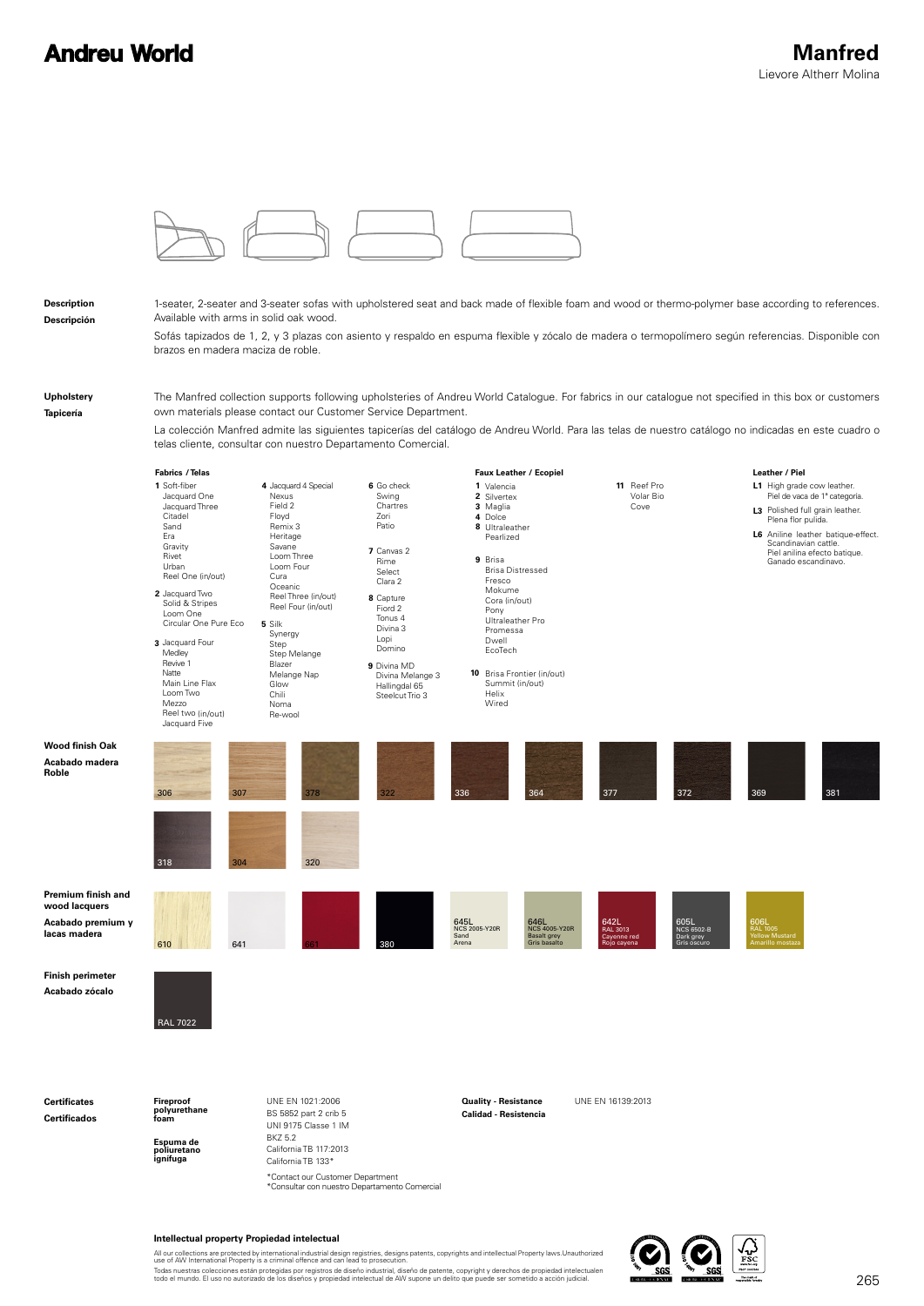## **Andreu World**



**Description Descripción** 1-seater, 2-seater and 3-seater sofas with upholstered seat and back made of flexible foam and wood or thermo-polymer base according to references. Available with arms in solid oak wood.

Sofás tapizados de 1, 2, y 3 plazas con asiento y respaldo en espuma flexible y zócalo de madera o termopolímero según referencias. Disponible con brazos en madera maciza de roble.

**Upholstery Tapicería**

**Roble**

The Manfred collection supports following upholsteries of Andreu World Catalogue. For fabrics in our catalogue not specified in this box or customers own materials please contact our Customer Service Department.

La colección Manfred admite las siguientes tapicerías del catálogo de Andreu World. Para las telas de nuestro catálogo no indicadas en este cuadro o telas cliente, consultar con nuestro Departamento Comercial.



\*Contact our Customer Department<br>\*Consultar con nuestro Departamento Comercial

## **Intellectual property Propiedad intelectual**

All our collections are protected by international industrial design registries, designs patents, copyrights and intellectual Property laws.Unauthorized<br>use of AW International Property is a criminal offence and can lead t

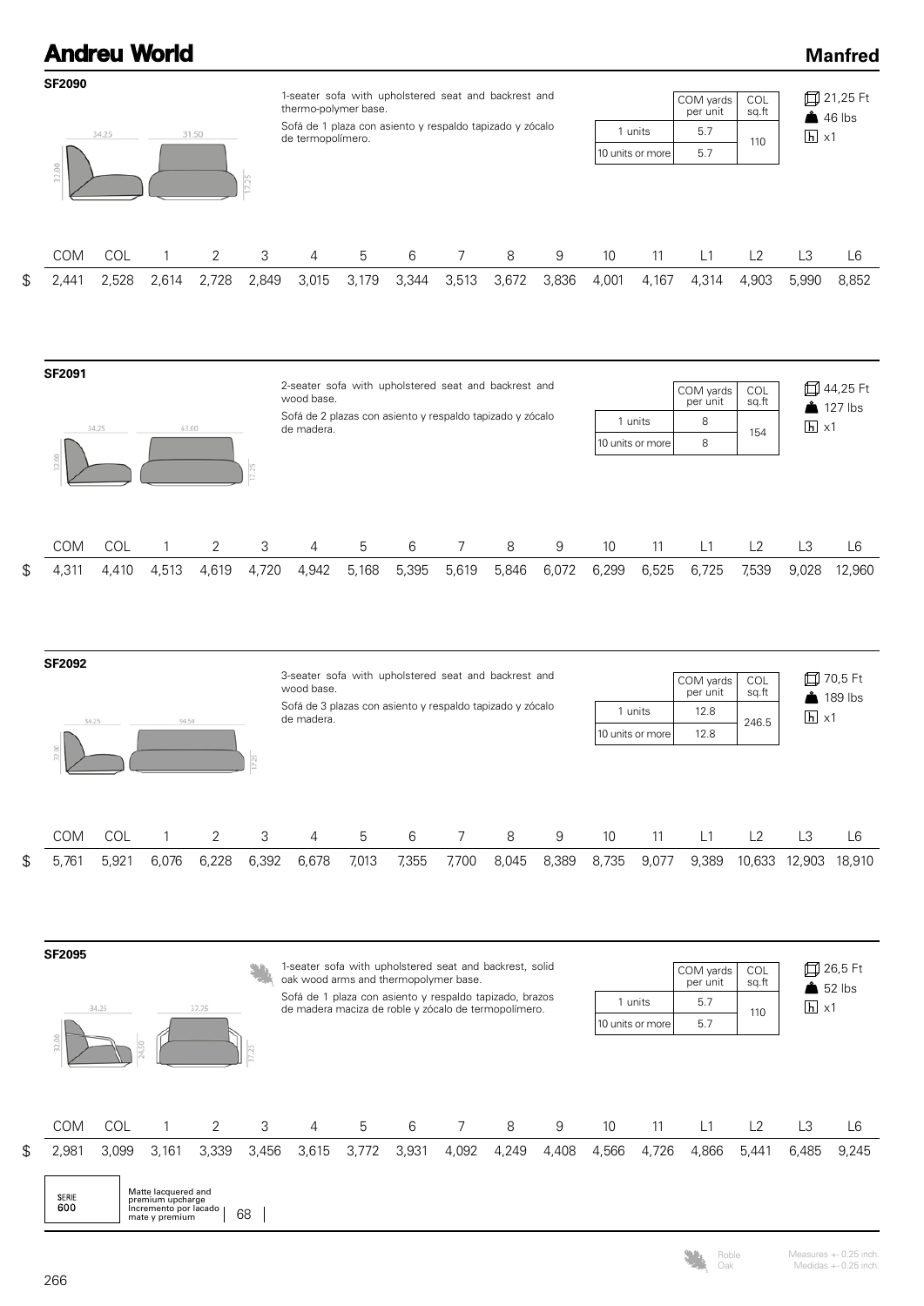## **Andreu World Manfred SF2090** 1-seater sofa with upholstered seat and backrest and 21,25 Ft COM yards **COL** thermo-polymer base. per unit sq.ft  $46$  lbs Sofá de 1 plaza con asiento y respaldo tapizado y zócalo 5.7 1 units 34.25 31.50  $\overline{h}$  x1 de termopolímero. 5.7 10 units or more COM COL 1 2 3 4 5 6 7 8 9 10 11 L1 L2 L3 L6  $\mathfrak{R}$ 2,441 2,528 2,614 2,728 2,849 3,015 3,179 3,344 3,513 3,672 3,836 4,001 4,167 4,314 4,903 5,990 8,852 **SF2091** 2-seater sofa with upholstered seat and backrest and £44,25 Ft COM yards COL wood base per unit sq.ft **127** lbs Sofá de 2 plazas con asiento y respaldo tapizado y zócalo 1 units 8  $\overline{154}$   $\overline{h}$  x1 34.25 63.00 de madera. 10 units or more 8 7.25 COM COL 1 2 3 4 5 6 7 8 9 10 11 L1 L2 L3 L6  $\mathfrak{L}$ 4,311 4,410 4,513 4,619 4,720 4,942 5,168 5,395 5,619 5,846 6,072 6,299 6,525 6,725 7,539 9,028 12,960 **SF2092** 3-seater sofa with upholstered seat and backrest and 70,5 Ft COL COM yards per unit wood base. sq.ft  $\triangle$  189 lbs Sofá de 3 plazas con asiento y respaldo tapizado y zócalo 1 units 12.8  $246.5$   $\Box$  x1  $0.451$ de madera. 34.25 10 units or more 12.8 COM COL 1 2 3 4 5 6 7 8 9 10 11 L1 L2 L3 L6 5,761 5,921 6,076 6,228 6,392 6,678 7,013 7,355 7,700 8,045 8,389 8,735 9,077 9,389 10,633 12,903 18,910 \$ **SF2095** 1-seater sofa with upholstered seat and backrest, solid 26,5 Ft COM yards **COL** oak wood arms and thermopolymer base. per unit sq.ft  $652$  lbs Sofá de 1 plaza con asiento y respaldo tapizado, brazos 5.7 1 units  $h \times 1$ 34.25 37.75 de madera maciza de roble y zócalo de termopolímero. 110 10 units or more 5.7



Roble Oak